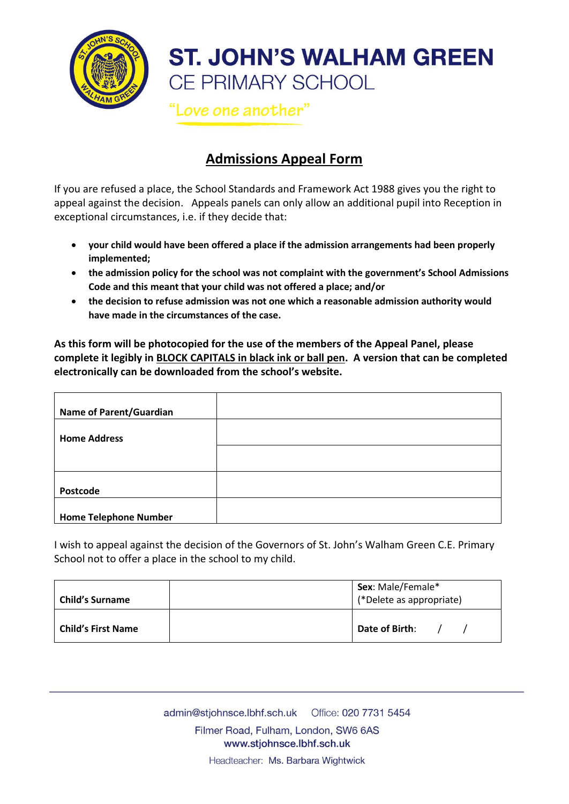

## **ST. JOHN'S WALHAM GREEN** CE PRIMARY SCHOOL

Love one another"

## **Admissions Appeal Form**

If you are refused a place, the School Standards and Framework Act 1988 gives you the right to appeal against the decision. Appeals panels can only allow an additional pupil into Reception in exceptional circumstances, i.e. if they decide that:

- **your child would have been offered a place if the admission arrangements had been properly implemented;**
- **the admission policy for the school was not complaint with the government's School Admissions Code and this meant that your child was not offered a place; and/or**
- **the decision to refuse admission was not one which a reasonable admission authority would have made in the circumstances of the case.**

**As this form will be photocopied for the use of the members of the Appeal Panel, please complete it legibly in BLOCK CAPITALS in black ink or ball pen. A version that can be completed electronically can be downloaded from the school's website.**

| <b>Name of Parent/Guardian</b> |  |
|--------------------------------|--|
| <b>Home Address</b>            |  |
|                                |  |
| Postcode                       |  |
| <b>Home Telephone Number</b>   |  |

I wish to appeal against the decision of the Governors of St. John's Walham Green C.E. Primary School not to offer a place in the school to my child.

| <b>Child's Surname</b>    | Sex: Male/Female*<br>(*Delete as appropriate) |
|---------------------------|-----------------------------------------------|
| <b>Child's First Name</b> | Date of Birth:                                |

Filmer Road, Fulham, London, SW6 6AS www.stjohnsce.lbhf.sch.uk

Headteacher: Ms. Barbara Wightwick